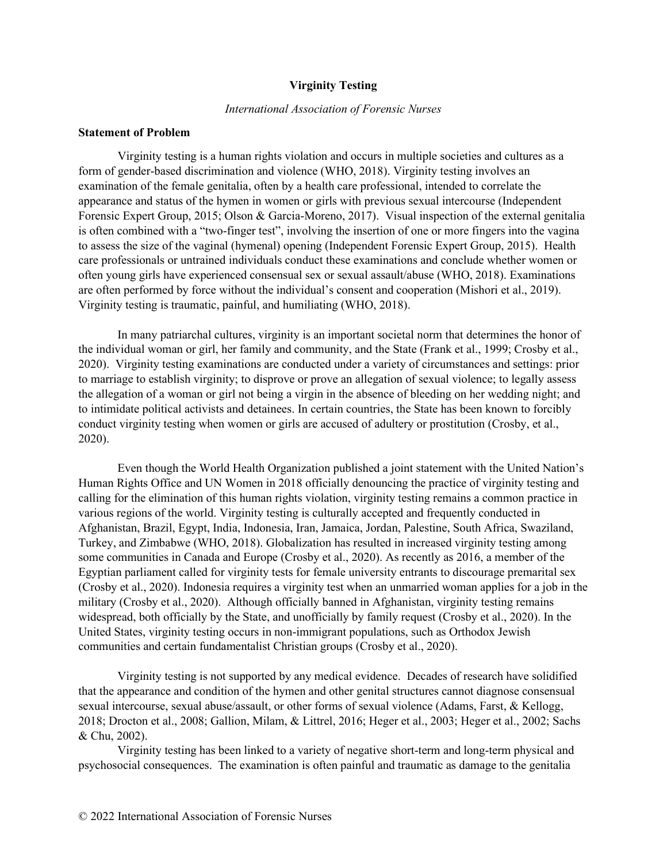#### **Virginity Testing**

#### *International Association of Forensic Nurses*

### **Statement of Problem**

Virginity testing is a human rights violation and occurs in multiple societies and cultures as a form of gender-based discrimination and violence (WHO, 2018). Virginity testing involves an examination of the female genitalia, often by a health care professional, intended to correlate the appearance and status of the hymen in women or girls with previous sexual intercourse (Independent Forensic Expert Group, 2015; Olson & Garcia-Moreno, 2017). Visual inspection of the external genitalia is often combined with a "two-finger test", involving the insertion of one or more fingers into the vagina to assess the size of the vaginal (hymenal) opening (Independent Forensic Expert Group, 2015). Health care professionals or untrained individuals conduct these examinations and conclude whether women or often young girls have experienced consensual sex or sexual assault/abuse (WHO, 2018). Examinations are often performed by force without the individual's consent and cooperation (Mishori et al., 2019). Virginity testing is traumatic, painful, and humiliating (WHO, 2018).

In many patriarchal cultures, virginity is an important societal norm that determines the honor of the individual woman or girl, her family and community, and the State (Frank et al., 1999; Crosby et al., 2020). Virginity testing examinations are conducted under a variety of circumstances and settings: prior to marriage to establish virginity; to disprove or prove an allegation of sexual violence; to legally assess the allegation of a woman or girl not being a virgin in the absence of bleeding on her wedding night; and to intimidate political activists and detainees. In certain countries, the State has been known to forcibly conduct virginity testing when women or girls are accused of adultery or prostitution (Crosby, et al., 2020).

Even though the World Health Organization published a joint statement with the United Nation's Human Rights Office and UN Women in 2018 officially denouncing the practice of virginity testing and calling for the elimination of this human rights violation, virginity testing remains a common practice in various regions of the world. Virginity testing is culturally accepted and frequently conducted in Afghanistan, Brazil, Egypt, India, Indonesia, Iran, Jamaica, Jordan, Palestine, South Africa, Swaziland, Turkey, and Zimbabwe (WHO, 2018). Globalization has resulted in increased virginity testing among some communities in Canada and Europe (Crosby et al., 2020). As recently as 2016, a member of the Egyptian parliament called for virginity tests for female university entrants to discourage premarital sex (Crosby et al., 2020). Indonesia requires a virginity test when an unmarried woman applies for a job in the military (Crosby et al., 2020). Although officially banned in Afghanistan, virginity testing remains widespread, both officially by the State, and unofficially by family request (Crosby et al., 2020). In the United States, virginity testing occurs in non-immigrant populations, such as Orthodox Jewish communities and certain fundamentalist Christian groups (Crosby et al., 2020).

Virginity testing is not supported by any medical evidence. Decades of research have solidified that the appearance and condition of the hymen and other genital structures cannot diagnose consensual sexual intercourse, sexual abuse/assault, or other forms of sexual violence (Adams, Farst, & Kellogg, 2018; Drocton et al., 2008; Gallion, Milam, & Littrel, 2016; Heger et al., 2003; Heger et al., 2002; Sachs & Chu, 2002).

Virginity testing has been linked to a variety of negative short-term and long-term physical and psychosocial consequences. The examination is often painful and traumatic as damage to the genitalia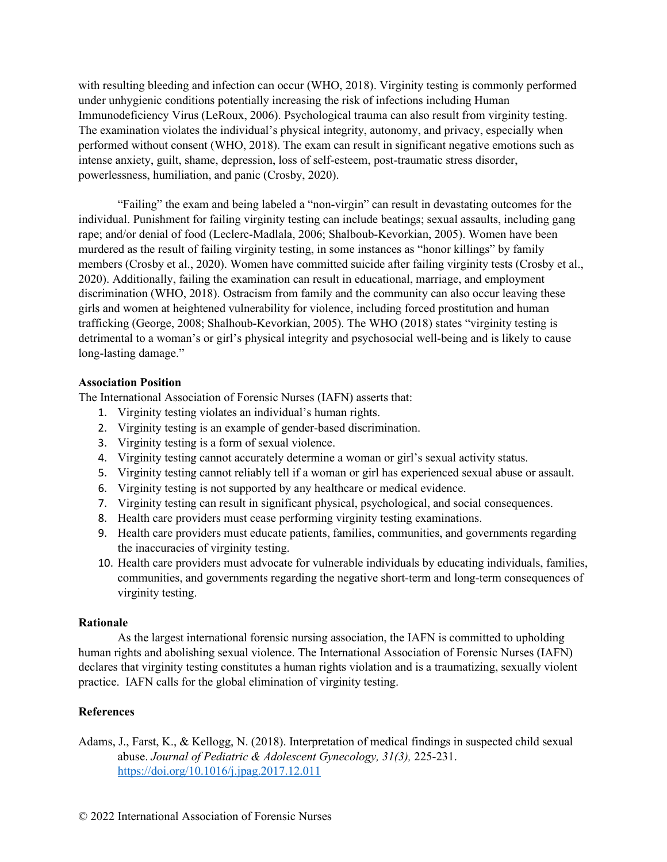with resulting bleeding and infection can occur (WHO, 2018). Virginity testing is commonly performed under unhygienic conditions potentially increasing the risk of infections including Human Immunodeficiency Virus (LeRoux, 2006). Psychological trauma can also result from virginity testing. The examination violates the individual's physical integrity, autonomy, and privacy, especially when performed without consent (WHO, 2018). The exam can result in significant negative emotions such as intense anxiety, guilt, shame, depression, loss of self-esteem, post-traumatic stress disorder, powerlessness, humiliation, and panic (Crosby, 2020).

"Failing" the exam and being labeled a "non-virgin" can result in devastating outcomes for the individual. Punishment for failing virginity testing can include beatings; sexual assaults, including gang rape; and/or denial of food (Leclerc-Madlala, 2006; Shalboub-Kevorkian, 2005). Women have been murdered as the result of failing virginity testing, in some instances as "honor killings" by family members (Crosby et al., 2020). Women have committed suicide after failing virginity tests (Crosby et al., 2020). Additionally, failing the examination can result in educational, marriage, and employment discrimination (WHO, 2018). Ostracism from family and the community can also occur leaving these girls and women at heightened vulnerability for violence, including forced prostitution and human trafficking (George, 2008; Shalhoub-Kevorkian, 2005). The WHO (2018) states "virginity testing is detrimental to a woman's or girl's physical integrity and psychosocial well-being and is likely to cause long-lasting damage."

# **Association Position**

The International Association of Forensic Nurses (IAFN) asserts that:

- 1. Virginity testing violates an individual's human rights.
- 2. Virginity testing is an example of gender-based discrimination.
- 3. Virginity testing is a form of sexual violence.
- 4. Virginity testing cannot accurately determine a woman or girl's sexual activity status.
- 5. Virginity testing cannot reliably tell if a woman or girl has experienced sexual abuse or assault.
- 6. Virginity testing is not supported by any healthcare or medical evidence.
- 7. Virginity testing can result in significant physical, psychological, and social consequences.
- 8. Health care providers must cease performing virginity testing examinations.
- 9. Health care providers must educate patients, families, communities, and governments regarding the inaccuracies of virginity testing.
- 10. Health care providers must advocate for vulnerable individuals by educating individuals, families, communities, and governments regarding the negative short-term and long-term consequences of virginity testing.

# **Rationale**

As the largest international forensic nursing association, the IAFN is committed to upholding human rights and abolishing sexual violence. The International Association of Forensic Nurses (IAFN) declares that virginity testing constitutes a human rights violation and is a traumatizing, sexually violent practice. IAFN calls for the global elimination of virginity testing.

# **References**

Adams, J., Farst, K., & Kellogg, N. (2018). Interpretation of medical findings in suspected child sexual abuse. *Journal of Pediatric & Adolescent Gynecology, 31(3),* 225-231. <https://doi.org/10.1016/j.jpag.2017.12.011>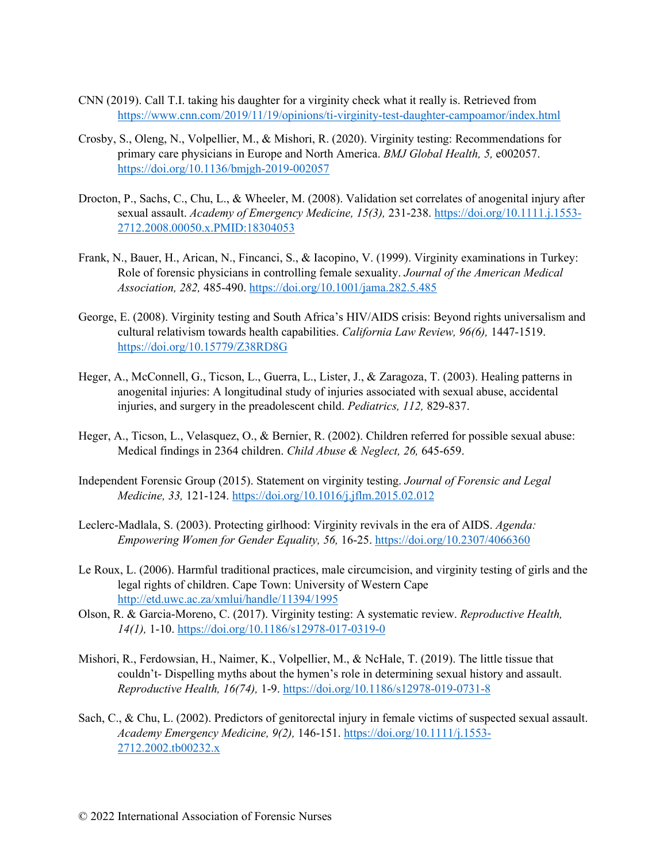- CNN (2019). Call T.I. taking his daughter for a virginity check what it really is. Retrieved from <https://www.cnn.com/2019/11/19/opinions/ti-virginity-test-daughter-campoamor/index.html>
- Crosby, S., Oleng, N., Volpellier, M., & Mishori, R. (2020). Virginity testing: Recommendations for primary care physicians in Europe and North America. *BMJ Global Health, 5,* e002057. <https://doi.org/10.1136/bmjgh-2019-002057>
- Drocton, P., Sachs, C., Chu, L., & Wheeler, M. (2008). Validation set correlates of anogenital injury after sexual assault. *Academy of Emergency Medicine, 15(3),* 231-238. [https://doi.org/10.1111.j.1553-](https://doi.org/10.1111.j.1553-2712.2008.00050.x.PMID:18304053) [2712.2008.00050.x.PMID:18304053](https://doi.org/10.1111.j.1553-2712.2008.00050.x.PMID:18304053)
- Frank, N., Bauer, H., Arican, N., Fincanci, S., & Iacopino, V. (1999). Virginity examinations in Turkey: Role of forensic physicians in controlling female sexuality. *Journal of the American Medical Association, 282,* 485-490.<https://doi.org/10.1001/jama.282.5.485>
- George, E. (2008). Virginity testing and South Africa's HIV/AIDS crisis: Beyond rights universalism and cultural relativism towards health capabilities. *California Law Review, 96(6),* 1447-1519. <https://doi.org/10.15779/Z38RD8G>
- Heger, A., McConnell, G., Ticson, L., Guerra, L., Lister, J., & Zaragoza, T. (2003). Healing patterns in anogenital injuries: A longitudinal study of injuries associated with sexual abuse, accidental injuries, and surgery in the preadolescent child. *Pediatrics, 112,* 829-837.
- Heger, A., Ticson, L., Velasquez, O., & Bernier, R. (2002). Children referred for possible sexual abuse: Medical findings in 2364 children. *Child Abuse & Neglect, 26,* 645-659.
- Independent Forensic Group (2015). Statement on virginity testing. *Journal of Forensic and Legal Medicine, 33,* 121-124.<https://doi.org/10.1016/j.jflm.2015.02.012>
- Leclerc-Madlala, S. (2003). Protecting girlhood: Virginity revivals in the era of AIDS. *Agenda: Empowering Women for Gender Equality, 56,* 16-25.<https://doi.org/10.2307/4066360>
- Le Roux, L. (2006). Harmful traditional practices, male circumcision, and virginity testing of girls and the legal rights of children. Cape Town: University of Western Cape <http://etd.uwc.ac.za/xmlui/handle/11394/1995>
- Olson, R. & Garcia-Moreno, C. (2017). Virginity testing: A systematic review. *Reproductive Health, 14(1),* 1-10.<https://doi.org/10.1186/s12978-017-0319-0>
- Mishori, R., Ferdowsian, H., Naimer, K., Volpellier, M., & NcHale, T. (2019). The little tissue that couldn't- Dispelling myths about the hymen's role in determining sexual history and assault. *Reproductive Health, 16(74),* 1-9.<https://doi.org/10.1186/s12978-019-0731-8>
- Sach, C., & Chu, L. (2002). Predictors of genitorectal injury in female victims of suspected sexual assault. *Academy Emergency Medicine, 9(2),* 146-151[. https://doi.org/10.1111/j.1553-](https://doi.org/10.1111/j.1553-2712.2002.tb00232.x) [2712.2002.tb00232.x](https://doi.org/10.1111/j.1553-2712.2002.tb00232.x)